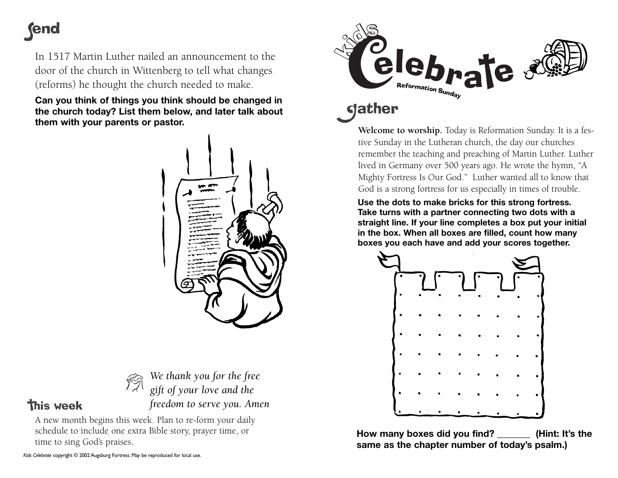## **(end**

In 1517 Martin Luther nailed an announcement to the door of the church in Wittenberg to tell what changes (reforms) he thought the church needed to make.

**Can you think of things you think should be changed in the church today? List them below, and later talk about them with your parents or pastor.**





**This week** 

*We thank you for the free gift of your love and the freedom to serve you. Amen*

A new month begins this week. Plan to re-form your daily schedule to include one extra Bible story, prayer time, or time to sing God's praises.



## **s**dather

**Welcome to worship.** Today is Reformation Sunday. It is a festive Sunday in the Lutheran church, the day our churches remember the teaching and preaching of Martin Luther. Luther lived in Germany over 500 years ago. He wrote the hymn, "A Mighty Fortress Is Our God." Luther wanted all to know that God is a strong fortress for us especially in times of trouble.

**Use the dots to make bricks for this strong fortress. Take turns with a partner connecting two dots with a straight line. If your line completes a box put your initial in the box. When all boxes are filled, count how many boxes you each have and add your scores together.** 



**How many boxes did you find? \_\_\_\_\_\_\_ (Hint: It's the same as the chapter number of today's psalm.)**